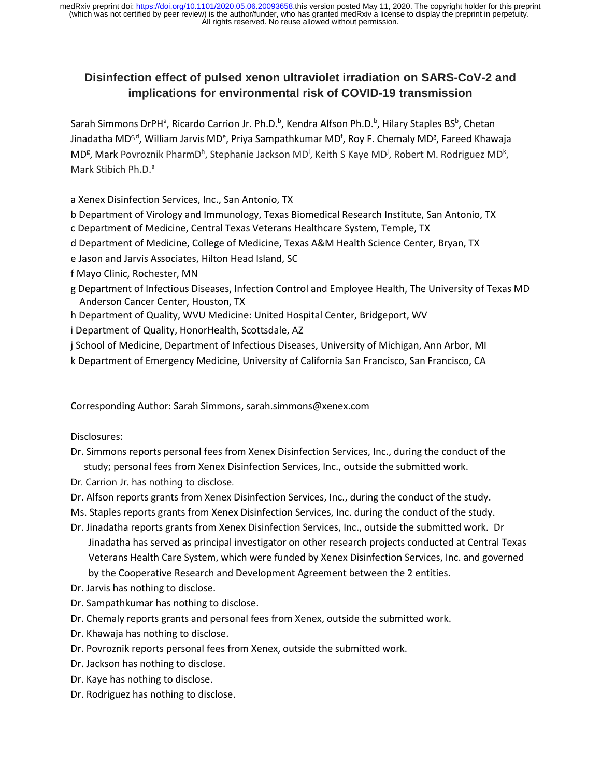# **Disinfection effect of pulsed xenon ultraviolet irradiation on SARS-CoV-2 and implications for environmental risk of COVID-19 transmission**

Sarah Simmons DrPH<sup>a</sup>, Ricardo Carrion Jr. Ph.D.<sup>b</sup>, Kendra Alfson Ph.D.<sup>b</sup>, Hilary Staples BS<sup>b</sup>, Chetan Jinadatha MD<sup>c,d</sup>, William Jarvis MD<sup>e</sup>, Priya Sampathkumar MD<sup>f</sup>, Roy F. Chemaly MD<sup>g</sup>, Fareed Khawaja MD<sup>g</sup>, Mark Povroznik PharmD<sup>h</sup>, Stephanie Jackson MD<sup>i</sup>, Keith S Kaye MD<sup>j</sup>, Robert M. Rodriguez MD<sup>k</sup>, Mark Stibich Ph.D.<sup>a</sup>

a Xenex Disinfection Services, Inc., San Antonio, TX

b Department of Virology and Immunology, Texas Biomedical Research Institute, San Antonio, TX c Department of Medicine, Central Texas Veterans Healthcare System, Temple, TX

d Department of Medicine, College of Medicine, Texas A&M Health Science Center, Bryan, TX

e Jason and Jarvis Associates, Hilton Head Island, SC

- f Mayo Clinic, Rochester, MN
- g Department of Infectious Diseases, Infection Control and Employee Health, The University of Texas MD Anderson Cancer Center, Houston, TX
- h Department of Quality, WVU Medicine: United Hospital Center, Bridgeport, WV
- i Department of Quality, HonorHealth, Scottsdale, AZ

j School of Medicine, Department of Infectious Diseases, University of Michigan, Ann Arbor, MI

k Department of Emergency Medicine, University of California San Francisco, San Francisco, CA

Corresponding Author: Sarah Simmons, sarah.simmons@xenex.com

Disclosures:

- Dr. Simmons reports personal fees from Xenex Disinfection Services, Inc., during the conduct of the study; personal fees from Xenex Disinfection Services, Inc., outside the submitted work.
- Dr. Carrion Jr. has nothing to disclose.
- Dr. Alfson reports grants from Xenex Disinfection Services, Inc., during the conduct of the study.

Ms. Staples reports grants from Xenex Disinfection Services, Inc. during the conduct of the study.

- Dr. Jinadatha reports grants from Xenex Disinfection Services, Inc., outside the submitted work. Dr Jinadatha has served as principal investigator on other research projects conducted at Central Texas Veterans Health Care System, which were funded by Xenex Disinfection Services, Inc. and governed by the Cooperative Research and Development Agreement between the 2 entities.
- Dr. Jarvis has nothing to disclose.
- Dr. Sampathkumar has nothing to disclose.
- Dr. Chemaly reports grants and personal fees from Xenex, outside the submitted work.
- Dr. Khawaja has nothing to disclose.
- Dr. Povroznik reports personal fees from Xenex, outside the submitted work.
- Dr. Jackson has nothing to disclose.
- Dr. Kaye has nothing to disclose.
- Dr. Rodriguez has nothing to disclose.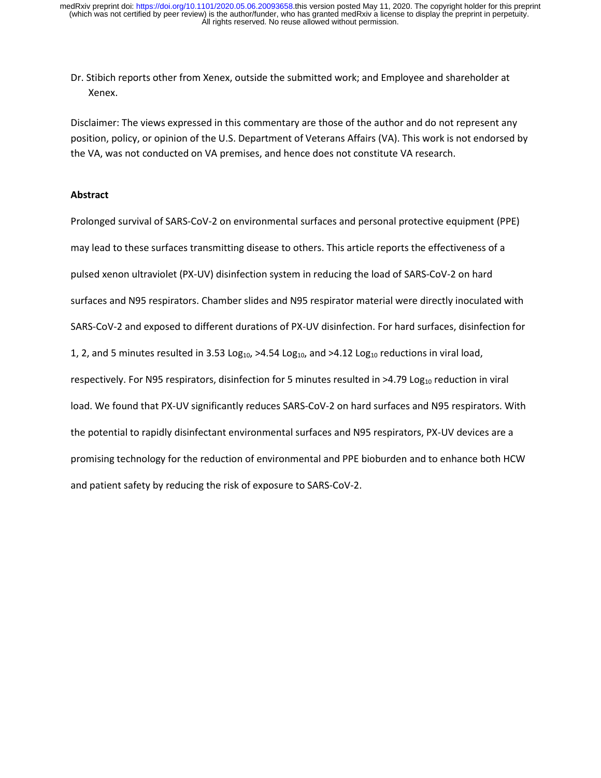Dr. Stibich reports other from Xenex, outside the submitted work; and Employee and shareholder at Xenex.

Disclaimer: The views expressed in this commentary are those of the author and do not represent any position, policy, or opinion of the U.S. Department of Veterans Affairs (VA). This work is not endorsed by the VA, was not conducted on VA premises, and hence does not constitute VA research.

# **Abstract**

Prolonged survival of SARS-CoV-2 on environmental surfaces and personal protective equipment (PPE) may lead to these surfaces transmitting disease to others. This article reports the effectiveness of a pulsed xenon ultraviolet (PX-UV) disinfection system in reducing the load of SARS-CoV-2 on hard surfaces and N95 respirators. Chamber slides and N95 respirator material were directly inoculated with SARS-CoV-2 and exposed to different durations of PX-UV disinfection. For hard surfaces, disinfection for 1, 2, and 5 minutes resulted in 3.53 Log<sub>10</sub>,  $>4.54$  Log<sub>10</sub>, and  $>4.12$  Log<sub>10</sub> reductions in viral load, respectively. For N95 respirators, disinfection for 5 minutes resulted in  $>4.79$  Log<sub>10</sub> reduction in viral load. We found that PX-UV significantly reduces SARS-CoV-2 on hard surfaces and N95 respirators. With the potential to rapidly disinfectant environmental surfaces and N95 respirators, PX-UV devices are a promising technology for the reduction of environmental and PPE bioburden and to enhance both HCW and patient safety by reducing the risk of exposure to SARS-CoV-2.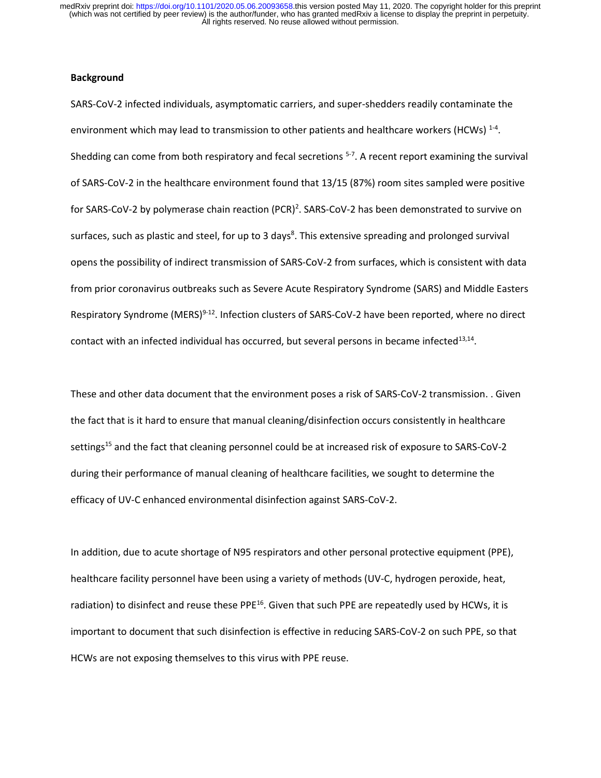# **Background**

SARS-CoV-2 infected individuals, asymptomatic carriers, and super-shedders readily contaminate the environment which may lead to transmission to other patients and healthcare workers (HCWs)  $^{1-4}$ . Shedding can come from both respiratory and fecal secretions <sup>5-7</sup>. A recent report examining the survival of SARS-CoV-2 in the healthcare environment found that 13/15 (87%) room sites sampled were positive for SARS-CoV-2 by polymerase chain reaction (PCR)<sup>2</sup>. SARS-CoV-2 has been demonstrated to survive on surfaces, such as plastic and steel, for up to 3 days<sup>8</sup>. This extensive spreading and prolonged survival opens the possibility of indirect transmission of SARS-CoV-2 from surfaces, which is consistent with data from prior coronavirus outbreaks such as Severe Acute Respiratory Syndrome (SARS) and Middle Easters Respiratory Syndrome (MERS)<sup>9-12</sup>. Infection clusters of SARS-CoV-2 have been reported, where no direct contact with an infected individual has occurred, but several persons in became infected<sup>13,14</sup>.

These and other data document that the environment poses a risk of SARS-CoV-2 transmission. . Given the fact that is it hard to ensure that manual cleaning/disinfection occurs consistently in healthcare settings<sup>15</sup> and the fact that cleaning personnel could be at increased risk of exposure to SARS-CoV-2 during their performance of manual cleaning of healthcare facilities, we sought to determine the efficacy of UV-C enhanced environmental disinfection against SARS-CoV-2.

In addition, due to acute shortage of N95 respirators and other personal protective equipment (PPE), healthcare facility personnel have been using a variety of methods (UV-C, hydrogen peroxide, heat, radiation) to disinfect and reuse these PPE<sup>16</sup>. Given that such PPE are repeatedly used by HCWs, it is important to document that such disinfection is effective in reducing SARS-CoV-2 on such PPE, so that HCWs are not exposing themselves to this virus with PPE reuse.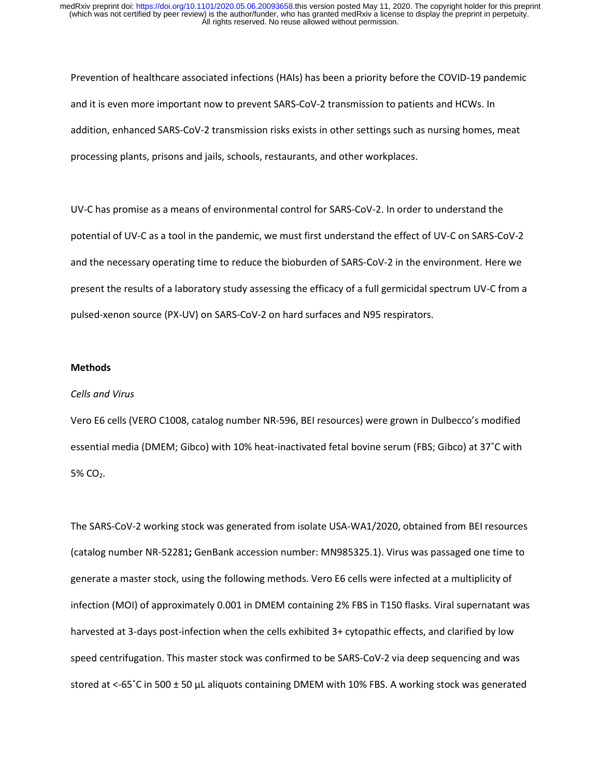Prevention of healthcare associated infections (HAIs) has been a priority before the COVID-19 pandemic and it is even more important now to prevent SARS-CoV-2 transmission to patients and HCWs. In addition, enhanced SARS-CoV-2 transmission risks exists in other settings such as nursing homes, meat processing plants, prisons and jails, schools, restaurants, and other workplaces.

UV-C has promise as a means of environmental control for SARS-CoV-2. In order to understand the potential of UV-C as a tool in the pandemic, we must first understand the effect of UV-C on SARS-CoV-2 and the necessary operating time to reduce the bioburden of SARS-CoV-2 in the environment. Here we present the results of a laboratory study assessing the efficacy of a full germicidal spectrum UV-C from a pulsed-xenon source (PX-UV) on SARS-CoV-2 on hard surfaces and N95 respirators.

### **Methods**

#### *Cells and Virus*

Vero E6 cells (VERO C1008, catalog number NR-596, BEI resources) were grown in Dulbecco's modified essential media (DMEM; Gibco) with 10% heat-inactivated fetal bovine serum (FBS; Gibco) at 37˚C with 5% CO<sub>2</sub>.

The SARS-CoV-2 working stock was generated from isolate USA-WA1/2020, obtained from BEI resources (catalog number NR-52281**;** GenBank accession number: MN985325.1). Virus was passaged one time to generate a master stock, using the following methods. Vero E6 cells were infected at a multiplicity of infection (MOI) of approximately 0.001 in DMEM containing 2% FBS in T150 flasks. Viral supernatant was harvested at 3-days post-infection when the cells exhibited 3+ cytopathic effects, and clarified by low speed centrifugation. This master stock was confirmed to be SARS-CoV-2 via deep sequencing and was stored at <-65°C in 500  $\pm$  50  $\mu$ L aliquots containing DMEM with 10% FBS. A working stock was generated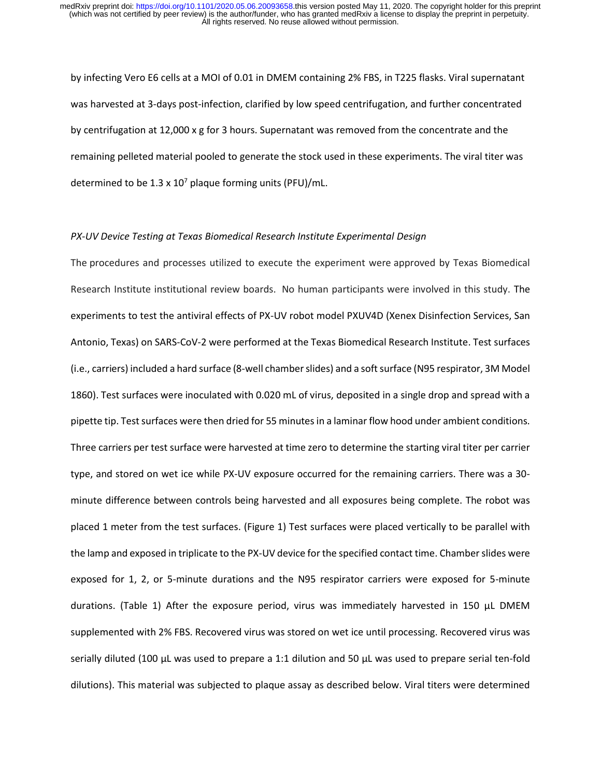by infecting Vero E6 cells at a MOI of 0.01 in DMEM containing 2% FBS, in T225 flasks. Viral supernatant was harvested at 3-days post-infection, clarified by low speed centrifugation, and further concentrated by centrifugation at 12,000 x g for 3 hours. Supernatant was removed from the concentrate and the remaining pelleted material pooled to generate the stock used in these experiments. The viral titer was determined to be 1.3 x  $10^7$  plaque forming units (PFU)/mL.

# *PX-UV Device Testing at Texas Biomedical Research Institute Experimental Design*

The procedures and processes utilized to execute the experiment were approved by Texas Biomedical Research Institute institutional review boards. No human participants were involved in this study. The experiments to test the antiviral effects of PX-UV robot model PXUV4D (Xenex Disinfection Services, San Antonio, Texas) on SARS-CoV-2 were performed at the Texas Biomedical Research Institute. Test surfaces (i.e., carriers) included a hard surface (8-well chamber slides) and a soft surface (N95 respirator, 3M Model 1860). Test surfaces were inoculated with 0.020 mL of virus, deposited in a single drop and spread with a pipette tip. Test surfaces were then dried for 55 minutes in a laminar flow hood under ambient conditions. Three carriers per test surface were harvested at time zero to determine the starting viral titer per carrier type, and stored on wet ice while PX-UV exposure occurred for the remaining carriers. There was a 30 minute difference between controls being harvested and all exposures being complete. The robot was placed 1 meter from the test surfaces. (Figure 1) Test surfaces were placed vertically to be parallel with the lamp and exposed in triplicate to the PX-UV device for the specified contact time. Chamber slides were exposed for 1, 2, or 5-minute durations and the N95 respirator carriers were exposed for 5-minute durations. (Table 1) After the exposure period, virus was immediately harvested in 150  $\mu$ L DMEM supplemented with 2% FBS. Recovered virus was stored on wet ice until processing. Recovered virus was serially diluted (100 µL was used to prepare a 1:1 dilution and 50 µL was used to prepare serial ten-fold dilutions). This material was subjected to plaque assay as described below. Viral titers were determined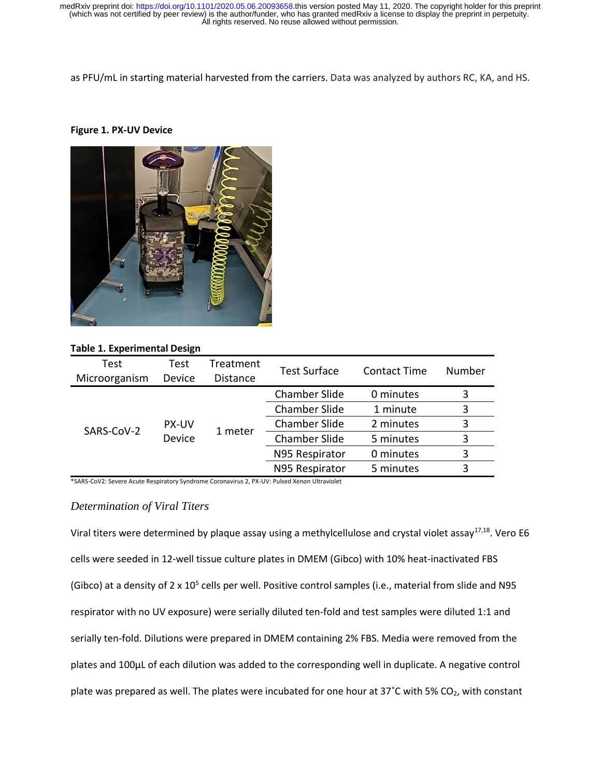as PFU/mL in starting material harvested from the carriers. Data was analyzed by authors RC, KA, and HS.

# **Figure 1. PX-UV Device**



# **Table 1. Experimental Design**

| Test<br>Microorganism | Test<br>Device         | Treatment<br><b>Distance</b> | <b>Test Surface</b>         | Contact Time | Number |
|-----------------------|------------------------|------------------------------|-----------------------------|--------------|--------|
| SARS-CoV-2            | <b>PX-UV</b><br>Device | 1 meter                      | <b>Chamber Slide</b>        | 0 minutes    | 3      |
|                       |                        |                              | <b>Chamber Slide</b>        | 1 minute     | 3      |
|                       |                        |                              | <b>Chamber Slide</b>        | 2 minutes    | 3      |
|                       |                        |                              | <b>Chamber Slide</b>        | 5 minutes    | 3      |
|                       |                        |                              | N95 Respirator<br>0 minutes |              | 3      |
|                       |                        |                              | N95 Respirator              | 5 minutes    | 3      |

\*SARS-CoV2: Severe Acute Respiratory Syndrome Coronavirus 2, PX-UV: Pulsed Xenon Ultraviolet

# *Determination of Viral Titers*

Viral titers were determined by plaque assay using a methylcellulose and crystal violet assay<sup>17,18</sup>. Vero E6 cells were seeded in 12-well tissue culture plates in DMEM (Gibco) with 10% heat-inactivated FBS (Gibco) at a density of 2 x 10<sup>5</sup> cells per well. Positive control samples (i.e., material from slide and N95 respirator with no UV exposure) were serially diluted ten-fold and test samples were diluted 1:1 and serially ten-fold. Dilutions were prepared in DMEM containing 2% FBS. Media were removed from the plates and 100µL of each dilution was added to the corresponding well in duplicate. A negative control plate was prepared as well. The plates were incubated for one hour at 37°C with 5% CO<sub>2</sub>, with constant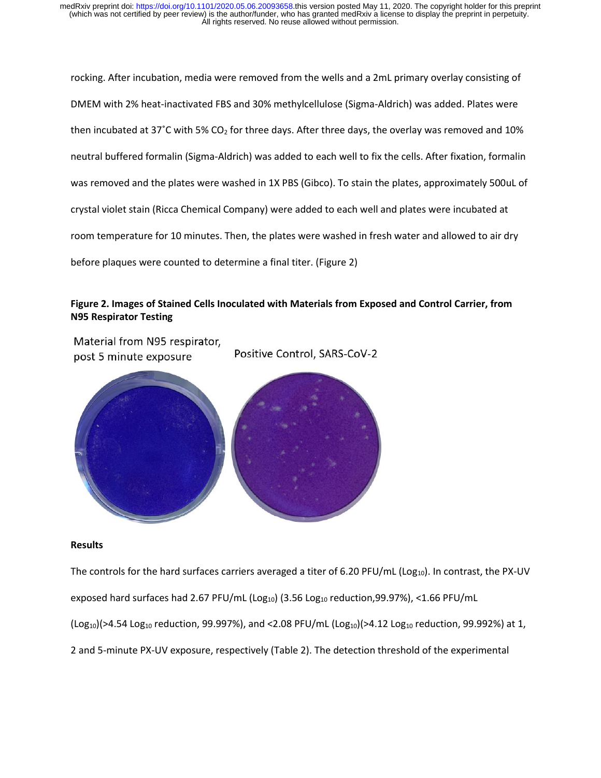rocking. After incubation, media were removed from the wells and a 2mL primary overlay consisting of DMEM with 2% heat-inactivated FBS and 30% methylcellulose (Sigma-Aldrich) was added. Plates were then incubated at 37°C with 5% CO<sub>2</sub> for three days. After three days, the overlay was removed and 10% neutral buffered formalin (Sigma-Aldrich) was added to each well to fix the cells. After fixation, formalin was removed and the plates were washed in 1X PBS (Gibco). To stain the plates, approximately 500uL of crystal violet stain (Ricca Chemical Company) were added to each well and plates were incubated at room temperature for 10 minutes. Then, the plates were washed in fresh water and allowed to air dry before plaques were counted to determine a final titer. (Figure 2)

# **Figure 2. Images of Stained Cells Inoculated with Materials from Exposed and Control Carrier, from N95 Respirator Testing**

Material from N95 respirator, Positive Control, SARS-CoV-2 post 5 minute exposure

#### **Results**

The controls for the hard surfaces carriers averaged a titer of 6.20 PFU/mL ( $Log_{10}$ ). In contrast, the PX-UV exposed hard surfaces had 2.67 PFU/mL (Log<sub>10</sub>) (3.56 Log<sub>10</sub> reduction,99.97%), <1.66 PFU/mL  $($ Log<sub>10</sub> $)$ (>4.54 Log<sub>10</sub> reduction, 99.997%), and <2.08 PFU/mL  $($ Log<sub>10</sub> $)$ (>4.12 Log<sub>10</sub> reduction, 99.992%) at 1,

2 and 5-minute PX-UV exposure, respectively (Table 2). The detection threshold of the experimental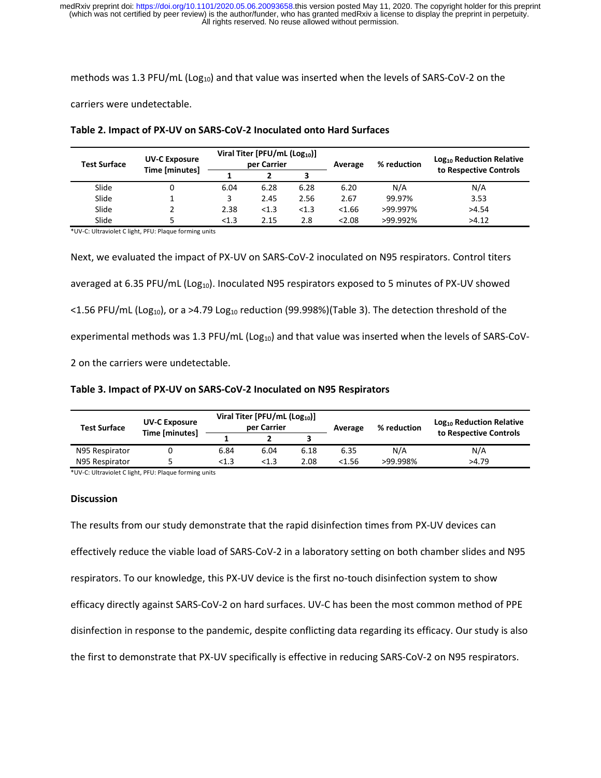methods was 1.3 PFU/mL ( $Log_{10}$ ) and that value was inserted when the levels of SARS-CoV-2 on the

carriers were undetectable.

| <b>Test Surface</b> | <b>UV-C Exposure</b><br>Time [minutes] | Viral Titer [PFU/mL (Log <sub>10</sub> )]<br>per Carrier |       |       | Average | % reduction | Log <sub>10</sub> Reduction Relative<br>to Respective Controls |
|---------------------|----------------------------------------|----------------------------------------------------------|-------|-------|---------|-------------|----------------------------------------------------------------|
|                     |                                        |                                                          |       |       |         |             |                                                                |
| Slide               | 0                                      | 6.04                                                     | 6.28  | 6.28  | 6.20    | N/A         | N/A                                                            |
| Slide               |                                        | 3                                                        | 2.45  | 2.56  | 2.67    | 99.97%      | 3.53                                                           |
| Slide               |                                        | 2.38                                                     | < 1.3 | < 1.3 | < 1.66  | >99.997%    | >4.54                                                          |
| Slide               |                                        | < 1.3                                                    | 2.15  | 2.8   | 2.08    | >99.992%    | >4.12                                                          |

#### **Table 2. Impact of PX-UV on SARS-CoV-2 Inoculated onto Hard Surfaces**

\*UV-C: Ultraviolet C light, PFU: Plaque forming units

Next, we evaluated the impact of PX-UV on SARS-CoV-2 inoculated on N95 respirators. Control titers averaged at 6.35 PFU/mL (Log<sub>10</sub>). Inoculated N95 respirators exposed to 5 minutes of PX-UV showed  $\le$ 1.56 PFU/mL (Log<sub>10</sub>), or a >4.79 Log<sub>10</sub> reduction (99.998%)(Table 3). The detection threshold of the experimental methods was 1.3 PFU/mL (Log<sub>10</sub>) and that value was inserted when the levels of SARS-CoV-2 on the carriers were undetectable.

# **Table 3. Impact of PX-UV on SARS-CoV-2 Inoculated on N95 Respirators**

| <b>Test Surface</b> | <b>UV-C Exposure</b><br>Time [minutes] | Viral Titer [PFU/mL (Log <sub>10</sub> )]<br>per Carrier |       |      | Average | % reduction | Log <sub>10</sub> Reduction Relative |
|---------------------|----------------------------------------|----------------------------------------------------------|-------|------|---------|-------------|--------------------------------------|
|                     |                                        |                                                          |       |      |         |             | to Respective Controls               |
| N95 Respirator      |                                        | 6.84                                                     | 6.04  | 6.18 | 6.35    | N/A         | N/A                                  |
| N95 Respirator      |                                        | < 1.3                                                    | < 1.3 | 2.08 | <1.56   | >99.998%    | >4.79                                |

\*UV-C: Ultraviolet C light, PFU: Plaque forming units

### **Discussion**

The results from our study demonstrate that the rapid disinfection times from PX-UV devices can effectively reduce the viable load of SARS-CoV-2 in a laboratory setting on both chamber slides and N95 respirators. To our knowledge, this PX-UV device is the first no-touch disinfection system to show efficacy directly against SARS-CoV-2 on hard surfaces. UV-C has been the most common method of PPE disinfection in response to the pandemic, despite conflicting data regarding its efficacy. Our study is also the first to demonstrate that PX-UV specifically is effective in reducing SARS-CoV-2 on N95 respirators.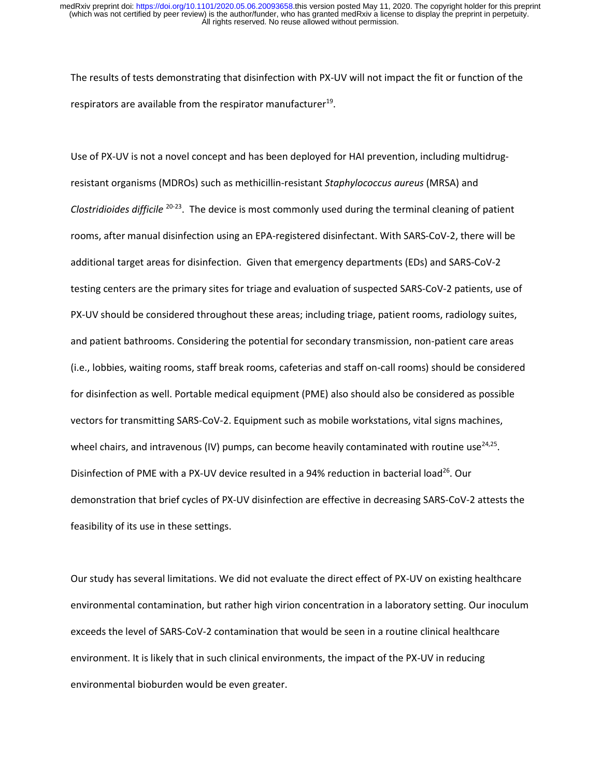The results of tests demonstrating that disinfection with PX-UV will not impact the fit or function of the respirators are available from the respirator manufacturer $^{19}$ .

Use of PX-UV is not a novel concept and has been deployed for HAI prevention, including multidrugresistant organisms (MDROs) such as methicillin-resistant *Staphylococcus aureus* (MRSA) and Clostridioides difficile <sup>20-23</sup>. The device is most commonly used during the terminal cleaning of patient rooms, after manual disinfection using an EPA-registered disinfectant. With SARS-CoV-2, there will be additional target areas for disinfection. Given that emergency departments (EDs) and SARS-CoV-2 testing centers are the primary sites for triage and evaluation of suspected SARS-CoV-2 patients, use of PX-UV should be considered throughout these areas; including triage, patient rooms, radiology suites, and patient bathrooms. Considering the potential for secondary transmission, non-patient care areas (i.e., lobbies, waiting rooms, staff break rooms, cafeterias and staff on-call rooms) should be considered for disinfection as well. Portable medical equipment (PME) also should also be considered as possible vectors for transmitting SARS-CoV-2. Equipment such as mobile workstations, vital signs machines, wheel chairs, and intravenous (IV) pumps, can become heavily contaminated with routine use<sup>24,25</sup>. Disinfection of PME with a PX-UV device resulted in a 94% reduction in bacterial load<sup>26</sup>. Our demonstration that brief cycles of PX-UV disinfection are effective in decreasing SARS-CoV-2 attests the feasibility of its use in these settings.

Our study has several limitations. We did not evaluate the direct effect of PX-UV on existing healthcare environmental contamination, but rather high virion concentration in a laboratory setting. Our inoculum exceeds the level of SARS-CoV-2 contamination that would be seen in a routine clinical healthcare environment. It is likely that in such clinical environments, the impact of the PX-UV in reducing environmental bioburden would be even greater.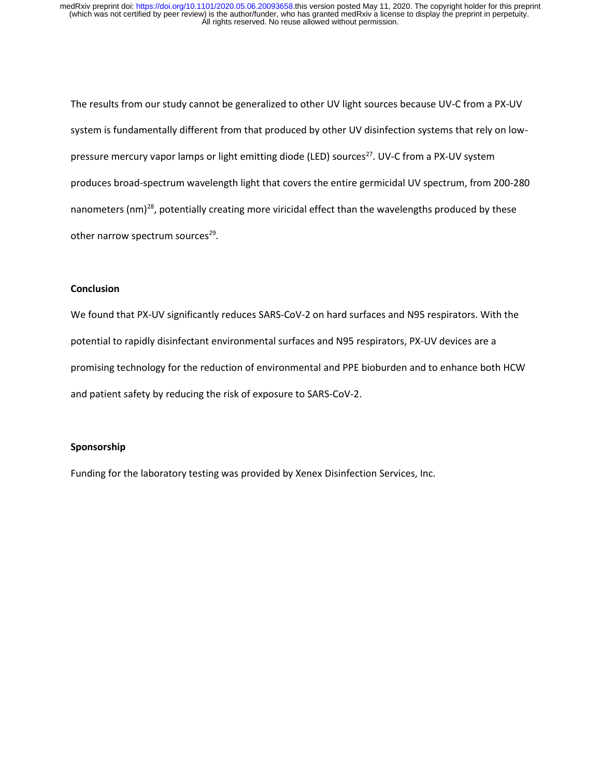The results from our study cannot be generalized to other UV light sources because UV-C from a PX-UV system is fundamentally different from that produced by other UV disinfection systems that rely on lowpressure mercury vapor lamps or light emitting diode (LED) sources<sup>27</sup>. UV-C from a PX-UV system produces broad-spectrum wavelength light that covers the entire germicidal UV spectrum, from 200-280 nanometers (nm)<sup>28</sup>, potentially creating more viricidal effect than the wavelengths produced by these other narrow spectrum sources<sup>29</sup>.

# **Conclusion**

We found that PX-UV significantly reduces SARS-CoV-2 on hard surfaces and N95 respirators. With the potential to rapidly disinfectant environmental surfaces and N95 respirators, PX-UV devices are a promising technology for the reduction of environmental and PPE bioburden and to enhance both HCW and patient safety by reducing the risk of exposure to SARS-CoV-2.

# **Sponsorship**

Funding for the laboratory testing was provided by Xenex Disinfection Services, Inc.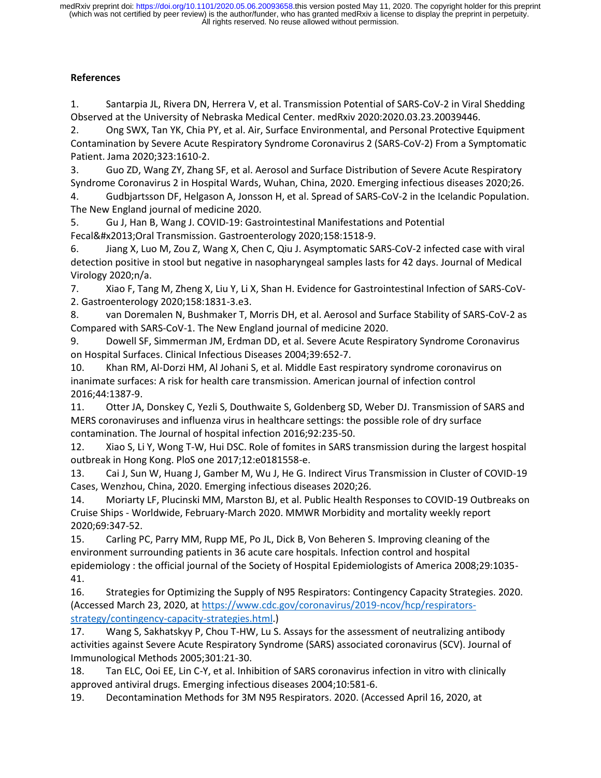# **References**

1. Santarpia JL, Rivera DN, Herrera V, et al. Transmission Potential of SARS-CoV-2 in Viral Shedding Observed at the University of Nebraska Medical Center. medRxiv 2020:2020.03.23.20039446.

2. Ong SWX, Tan YK, Chia PY, et al. Air, Surface Environmental, and Personal Protective Equipment Contamination by Severe Acute Respiratory Syndrome Coronavirus 2 (SARS-CoV-2) From a Symptomatic Patient. Jama 2020;323:1610-2.

3. Guo ZD, Wang ZY, Zhang SF, et al. Aerosol and Surface Distribution of Severe Acute Respiratory Syndrome Coronavirus 2 in Hospital Wards, Wuhan, China, 2020. Emerging infectious diseases 2020;26.

4. Gudbjartsson DF, Helgason A, Jonsson H, et al. Spread of SARS-CoV-2 in the Icelandic Population. The New England journal of medicine 2020.

5. Gu J, Han B, Wang J. COVID-19: Gastrointestinal Manifestations and Potential Fecal–Oral Transmission. Gastroenterology 2020;158:1518-9.

6. Jiang X, Luo M, Zou Z, Wang X, Chen C, Qiu J. Asymptomatic SARS-CoV-2 infected case with viral detection positive in stool but negative in nasopharyngeal samples lasts for 42 days. Journal of Medical Virology 2020;n/a.

7. Xiao F, Tang M, Zheng X, Liu Y, Li X, Shan H. Evidence for Gastrointestinal Infection of SARS-CoV-2. Gastroenterology 2020;158:1831-3.e3.

8. van Doremalen N, Bushmaker T, Morris DH, et al. Aerosol and Surface Stability of SARS-CoV-2 as Compared with SARS-CoV-1. The New England journal of medicine 2020.

9. Dowell SF, Simmerman JM, Erdman DD, et al. Severe Acute Respiratory Syndrome Coronavirus on Hospital Surfaces. Clinical Infectious Diseases 2004;39:652-7.

10. Khan RM, Al-Dorzi HM, Al Johani S, et al. Middle East respiratory syndrome coronavirus on inanimate surfaces: A risk for health care transmission. American journal of infection control 2016;44:1387-9.

11. Otter JA, Donskey C, Yezli S, Douthwaite S, Goldenberg SD, Weber DJ. Transmission of SARS and MERS coronaviruses and influenza virus in healthcare settings: the possible role of dry surface contamination. The Journal of hospital infection 2016;92:235-50.

12. Xiao S, Li Y, Wong T-W, Hui DSC. Role of fomites in SARS transmission during the largest hospital outbreak in Hong Kong. PloS one 2017;12:e0181558-e.

13. Cai J, Sun W, Huang J, Gamber M, Wu J, He G. Indirect Virus Transmission in Cluster of COVID-19 Cases, Wenzhou, China, 2020. Emerging infectious diseases 2020;26.

14. Moriarty LF, Plucinski MM, Marston BJ, et al. Public Health Responses to COVID-19 Outbreaks on Cruise Ships - Worldwide, February-March 2020. MMWR Morbidity and mortality weekly report 2020;69:347-52.

15. Carling PC, Parry MM, Rupp ME, Po JL, Dick B, Von Beheren S. Improving cleaning of the environment surrounding patients in 36 acute care hospitals. Infection control and hospital epidemiology : the official journal of the Society of Hospital Epidemiologists of America 2008;29:1035- 41.

16. Strategies for Optimizing the Supply of N95 Respirators: Contingency Capacity Strategies. 2020. (Accessed March 23, 2020, a[t https://www.cdc.gov/coronavirus/2019-ncov/hcp/respirators](https://www.cdc.gov/coronavirus/2019-ncov/hcp/respirators-strategy/contingency-capacity-strategies.html)[strategy/contingency-capacity-strategies.html.](https://www.cdc.gov/coronavirus/2019-ncov/hcp/respirators-strategy/contingency-capacity-strategies.html))

17. Wang S, Sakhatskyy P, Chou T-HW, Lu S. Assays for the assessment of neutralizing antibody activities against Severe Acute Respiratory Syndrome (SARS) associated coronavirus (SCV). Journal of Immunological Methods 2005;301:21-30.

18. Tan ELC, Ooi EE, Lin C-Y, et al. Inhibition of SARS coronavirus infection in vitro with clinically approved antiviral drugs. Emerging infectious diseases 2004;10:581-6.

19. Decontamination Methods for 3M N95 Respirators. 2020. (Accessed April 16, 2020, at